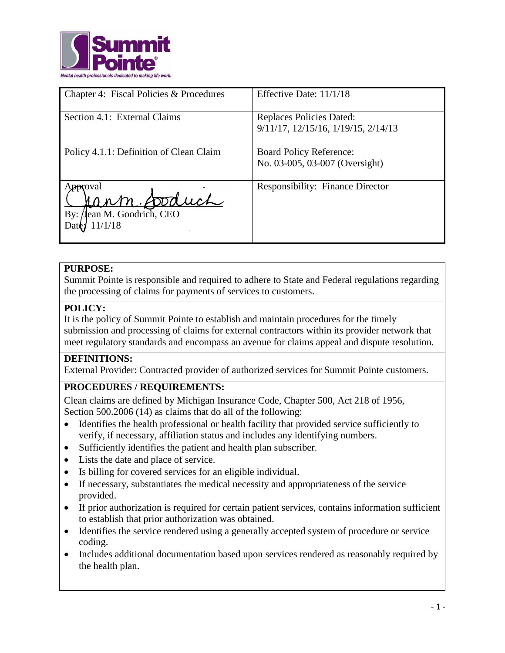

| Chapter 4: Fiscal Policies & Procedures                          | Effective Date: 11/1/18                                                |
|------------------------------------------------------------------|------------------------------------------------------------------------|
| Section 4.1: External Claims                                     | <b>Replaces Policies Dated:</b><br>9/11/17, 12/15/16, 1/19/15, 2/14/13 |
| Policy 4.1.1: Definition of Clean Claim                          | <b>Board Policy Reference:</b><br>No. 03-005, 03-007 (Oversight)       |
| proval<br>Cann Stduch<br>Jean M. Goodrich, CEO<br>By:<br>11/1/18 | <b>Responsibility: Finance Director</b>                                |

## **PURPOSE:**

Summit Pointe is responsible and required to adhere to State and Federal regulations regarding the processing of claims for payments of services to customers.

## **POLICY:**

It is the policy of Summit Pointe to establish and maintain procedures for the timely submission and processing of claims for external contractors within its provider network that meet regulatory standards and encompass an avenue for claims appeal and dispute resolution.

# **DEFINITIONS:**

External Provider: Contracted provider of authorized services for Summit Pointe customers.

# **PROCEDURES / REQUIREMENTS:**

Clean claims are defined by Michigan Insurance Code, Chapter 500, Act 218 of 1956, Section 500.2006 (14) as claims that do all of the following:

- Identifies the health professional or health facility that provided service sufficiently to verify, if necessary, affiliation status and includes any identifying numbers.
- Sufficiently identifies the patient and health plan subscriber.
- Lists the date and place of service.
- Is billing for covered services for an eligible individual.
- If necessary, substantiates the medical necessity and appropriateness of the service provided.
- If prior authorization is required for certain patient services, contains information sufficient to establish that prior authorization was obtained.
- Identifies the service rendered using a generally accepted system of procedure or service coding.
- Includes additional documentation based upon services rendered as reasonably required by the health plan.